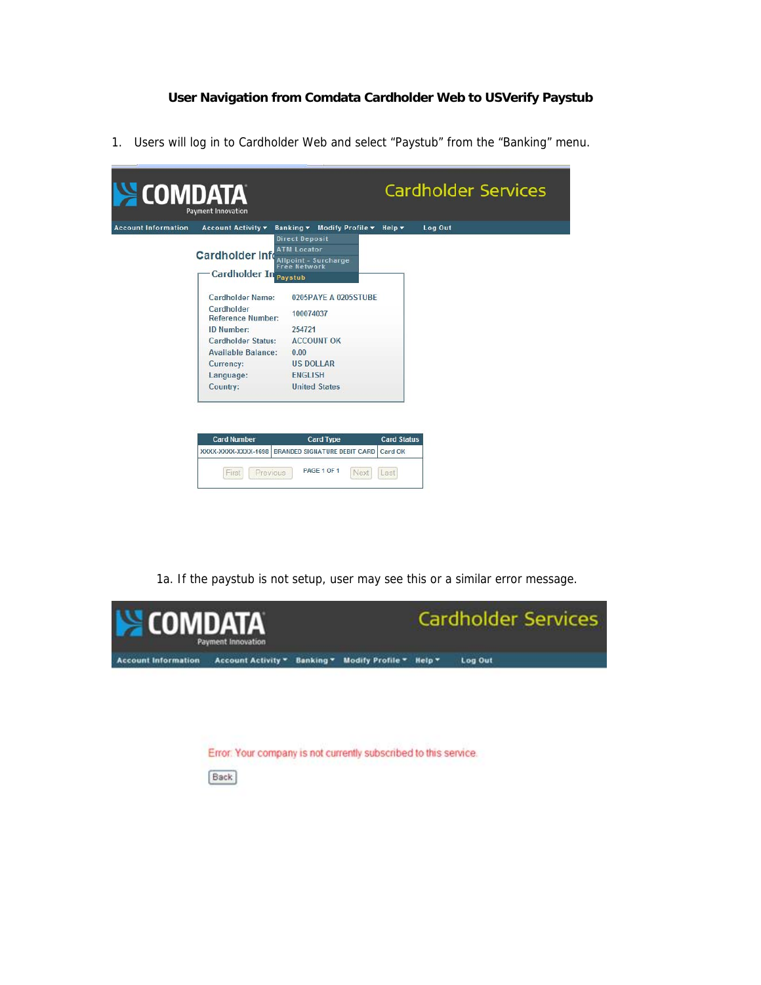## **User Navigation from Comdata Cardholder Web to USVerify Paystub**

1. Users will log in to Cardholder Web and select "Paystub" from the "Banking" menu.

| SCOMDATA                   | <b>Payment Innovation</b>                                      |                                                                                                       |                                       |         | <b>Cardholder Services</b> |
|----------------------------|----------------------------------------------------------------|-------------------------------------------------------------------------------------------------------|---------------------------------------|---------|----------------------------|
| <b>Account Information</b> | Account Activity v                                             | Banking ▼ Modify Profile ▼ Help ▼                                                                     |                                       | Log Out |                            |
|                            | <b>Cardholder Info</b><br><b>Cardholder In</b>                 | <b>Direct Deposit</b><br><b>ATM Locator</b><br>Allpoint - Surcharge<br><b>Free Network</b><br>Paystub |                                       |         |                            |
|                            | Cardholder Name:                                               | 0205PAYE A 0205STUBE                                                                                  |                                       |         |                            |
|                            | Cardholder<br><b>Reference Number:</b>                         | 100074037                                                                                             |                                       |         |                            |
|                            | <b>ID Number:</b>                                              | 254721                                                                                                |                                       |         |                            |
|                            | Cardholder Status:                                             | <b>ACCOUNT OK</b>                                                                                     |                                       |         |                            |
|                            | <b>Available Balance:</b>                                      | 0.00                                                                                                  |                                       |         |                            |
|                            | <b>Currency:</b>                                               | <b>US DOLLAR</b>                                                                                      |                                       |         |                            |
|                            | Language:                                                      | <b>ENGLISH</b>                                                                                        |                                       |         |                            |
|                            | Country:                                                       | <b>United States</b>                                                                                  |                                       |         |                            |
|                            | <b>Card Number</b><br>XXXX-XXXX-XXXX-1698<br>Previous<br>First | <b>Card Type</b><br><b>BRANDED SIGNATURE DEBIT CARD</b><br>PAGE 1 OF 1<br>Next                        | <b>Card Status</b><br>Card OK<br>Last |         |                            |

1a. If the paystub is not setup, user may see this or a similar error message.



Error: Your company is not currently subscribed to this service.

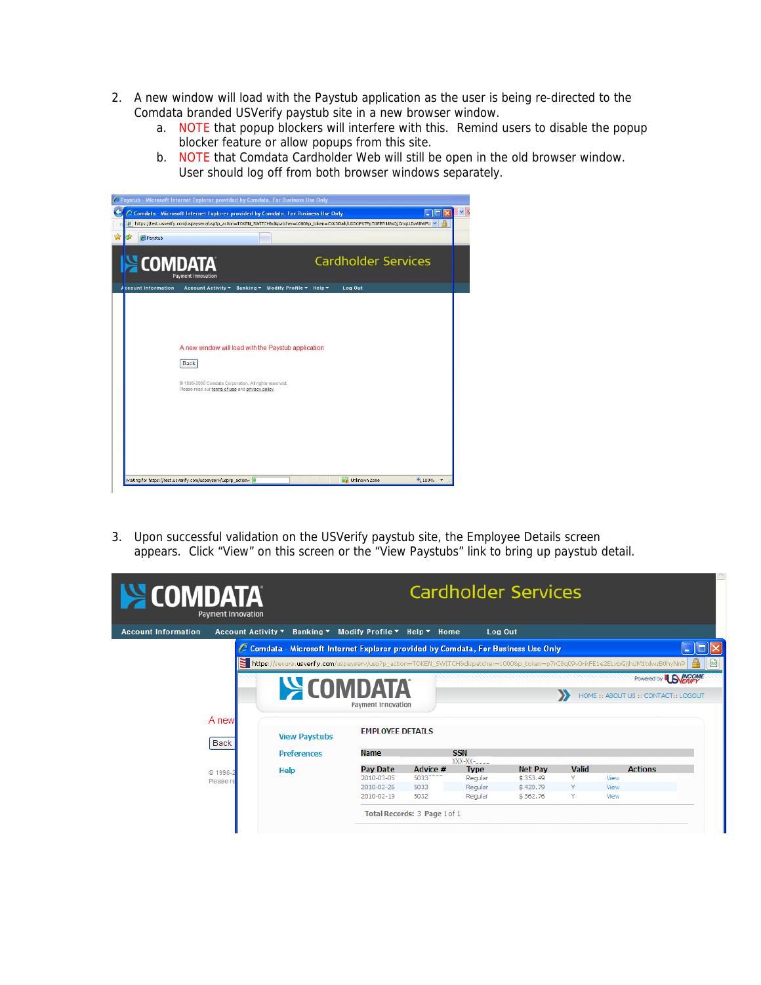- 2. A new window will load with the Paystub application as the user is being re-directed to the Comdata branded USVerify paystub site in a new browser window.
	- a. NOTE that popup blockers will interfere with this. Remind users to disable the popup blocker feature or allow popups from this site.
	- b. NOTE that Comdata Cardholder Web will still be open in the old browser window. User should log off from both browser windows separately.

| Paystub                    |                                                       |                                   |                            |  |
|----------------------------|-------------------------------------------------------|-----------------------------------|----------------------------|--|
| S COMDATA                  | <b>Payment Innovation</b>                             |                                   | <b>Cardholder Services</b> |  |
| <b>Account Information</b> | Account Activity $\tau$                               | Banking * Modify Profile * Help * | Log Out                    |  |
|                            |                                                       |                                   |                            |  |
|                            |                                                       |                                   |                            |  |
|                            |                                                       |                                   |                            |  |
|                            | A new window will load with the Paystub application   |                                   |                            |  |
|                            |                                                       |                                   |                            |  |
|                            | Back                                                  |                                   |                            |  |
|                            | @ 1998-2008 Comdata Corporation. All rights reserved. |                                   |                            |  |
|                            | Please read our terms of use and privacy policy.      |                                   |                            |  |
|                            |                                                       |                                   |                            |  |
|                            |                                                       |                                   |                            |  |
|                            |                                                       |                                   |                            |  |
|                            |                                                       |                                   |                            |  |
|                            |                                                       |                                   |                            |  |

3. Upon successful validation on the USVerify paystub site, the Employee Details screen appears. Click "View" on this screen or the "View Paystubs" link to bring up paystub detail.

| <b>EXECOMDATA</b>          | <b>Payment Innovation</b> |                                                                                                                                  |                         |                              |                           | <b>Cardholder Services</b> |       |                                      |   |
|----------------------------|---------------------------|----------------------------------------------------------------------------------------------------------------------------------|-------------------------|------------------------------|---------------------------|----------------------------|-------|--------------------------------------|---|
| <b>Account Information</b> | <b>Account Activity ▼</b> | Banking ▼ Modify Profile ▼ Help ▼ Home                                                                                           |                         |                              | Log Out                   |                            |       |                                      |   |
|                            |                           | Comdata - Microsoft Internet Explorer provided by Comdata, For Business Use Only                                                 |                         |                              |                           |                            |       |                                      |   |
|                            |                           | https://secure.usverify.com/uspayserv/usp?p_action=TOKEN_SWITCH&dispatcher=1000&p_token=p7rC8q09v0rikFE1e2ELxbGjjhUM1tdwzB0hyNnR |                         |                              |                           |                            |       |                                      | ⊠ |
|                            |                           |                                                                                                                                  |                         |                              |                           |                            |       | Powered by <b>BNERIFY</b>            |   |
|                            |                           | <b>SECOMPATA</b>                                                                                                                 |                         |                              |                           |                            |       | HOME :: ABOUT US :: CONTACT:: LOGOUT |   |
|                            |                           |                                                                                                                                  | Payment Innovation      |                              |                           |                            |       |                                      |   |
|                            | A new                     |                                                                                                                                  |                         |                              |                           |                            |       |                                      |   |
|                            | Back                      | <b>View Paystubs</b>                                                                                                             | <b>EMPLOYEE DETAILS</b> |                              |                           |                            |       |                                      |   |
|                            |                           | <b>Preferences</b>                                                                                                               | <b>Name</b>             |                              | <b>SSN</b>                |                            |       |                                      |   |
|                            |                           | Help                                                                                                                             | Pay Date                | Advice #                     | $XXX-XX$ -<br><b>Type</b> | <b>Net Pav</b>             | Valid | <b>Actions</b>                       |   |
|                            | C 1998<br>Please          |                                                                                                                                  | 2010-03-05              | 50337777                     | Regular                   | \$353.49                   |       | View                                 |   |
|                            |                           |                                                                                                                                  | 2010-02-26              | 5033                         | Regular                   | \$420.79                   | Y     | View                                 |   |
|                            |                           |                                                                                                                                  | 2010-02-19              | 5032                         | Regular                   | \$362.76                   | Y     | View                                 |   |
|                            |                           |                                                                                                                                  |                         | Total Records: 3 Page 1 of 1 |                           |                            |       |                                      |   |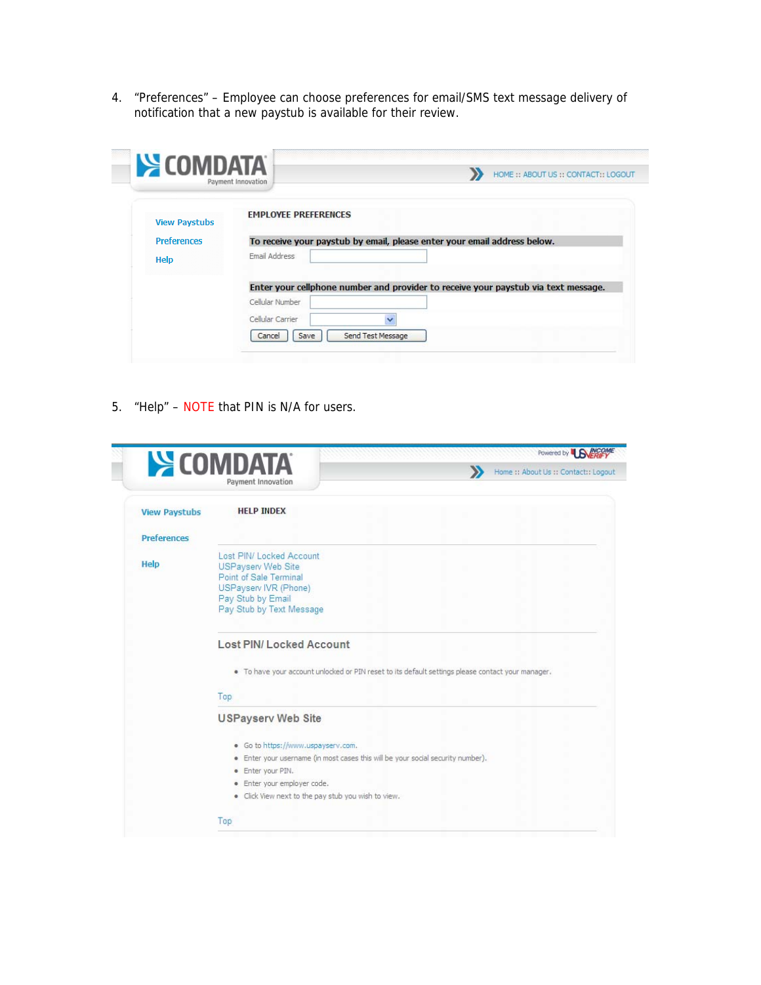4. "Preferences" – Employee can choose preferences for email/SMS text message delivery of notification that a new paystub is available for their review.

| <b>SCOMDATA</b>      | HOME :: ABOUT US :: CONTACT:: LOGOUT<br>Payment Innovation                         |
|----------------------|------------------------------------------------------------------------------------|
| <b>View Paystubs</b> | <b>EMPLOYEE PREFERENCES</b>                                                        |
| <b>Preferences</b>   | To receive your paystub by email, please enter your email address below.           |
| Help                 | Email Address                                                                      |
|                      | Enter your cellphone number and provider to receive your paystub via text message. |
|                      | Cellular Number                                                                    |
|                      | Cellular Carrier<br>$\checkmark$                                                   |
|                      | Send Test Message<br>Cancel<br>Save                                                |

5. "Help" – NOTE that PIN is N/A for users.

|                      | <b>SECOMPATA</b><br>D<br>Home :: About Us :: Contact:: Logout<br>Payment Innovation               |
|----------------------|---------------------------------------------------------------------------------------------------|
| <b>View Paystubs</b> | <b>HELP INDEX</b>                                                                                 |
| <b>Preferences</b>   |                                                                                                   |
|                      | Lost PIN/ Locked Account                                                                          |
| Help                 | <b>USPayserv Web Site</b>                                                                         |
|                      | Point of Sale Terminal<br>USPayserv IVR (Phone)                                                   |
|                      | Pay Stub by Email                                                                                 |
|                      | Pay Stub by Text Message                                                                          |
|                      |                                                                                                   |
|                      | <b>Lost PIN/Locked Account</b>                                                                    |
|                      | . To have your account unlocked or PIN reset to its default settings please contact your manager, |
|                      | Top.                                                                                              |
|                      | <b>USPayserv Web Site</b>                                                                         |
|                      | · Go to https://www.uspayserv.com.                                                                |
|                      | · Enter your username (in most cases this will be your social security number).                   |
|                      | · Enter your PIN.                                                                                 |
|                      | · Enter your employer code.                                                                       |
|                      | · Click View next to the pay stub you wish to view.                                               |
|                      |                                                                                                   |
|                      | Top                                                                                               |